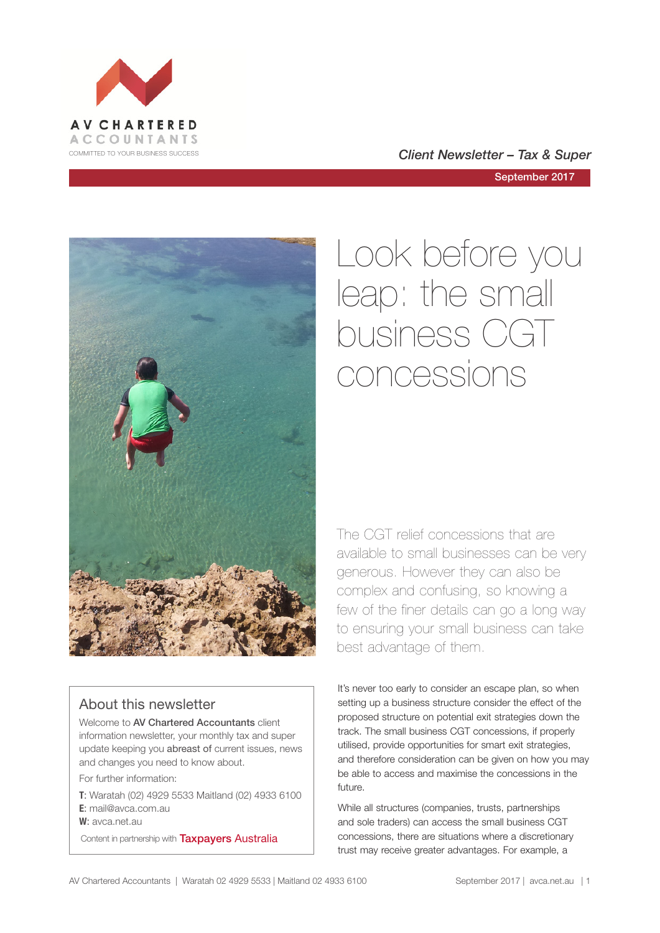



September 2017



# About this newsletter

Welcome to **AV Chartered Accountants** client information newsletter, your monthly tax and super update keeping you abreast of current issues, news and changes you need to know about.

For further information:

**T**: Waratah (02) 4929 5533 Maitland (02) 4933 6100 **E**: mail@avca.com.au

**W**: avca.net.au

Content in partnership with **Taxpayers Australia** 

# Look before you leap: the small business CGT concessions

The CGT relief concessions that are available to small businesses can be very generous. However they can also be complex and confusing, so knowing a few of the finer details can go a long way to ensuring your small business can take best advantage of them.

It's never too early to consider an escape plan, so when setting up a business structure consider the effect of the proposed structure on potential exit strategies down the track. The small business CGT concessions, if properly utilised, provide opportunities for smart exit strategies, and therefore consideration can be given on how you may be able to access and maximise the concessions in the future.

While all structures (companies, trusts, partnerships and sole traders) can access the small business CGT concessions, there are situations where a discretionary trust may receive greater advantages. For example, a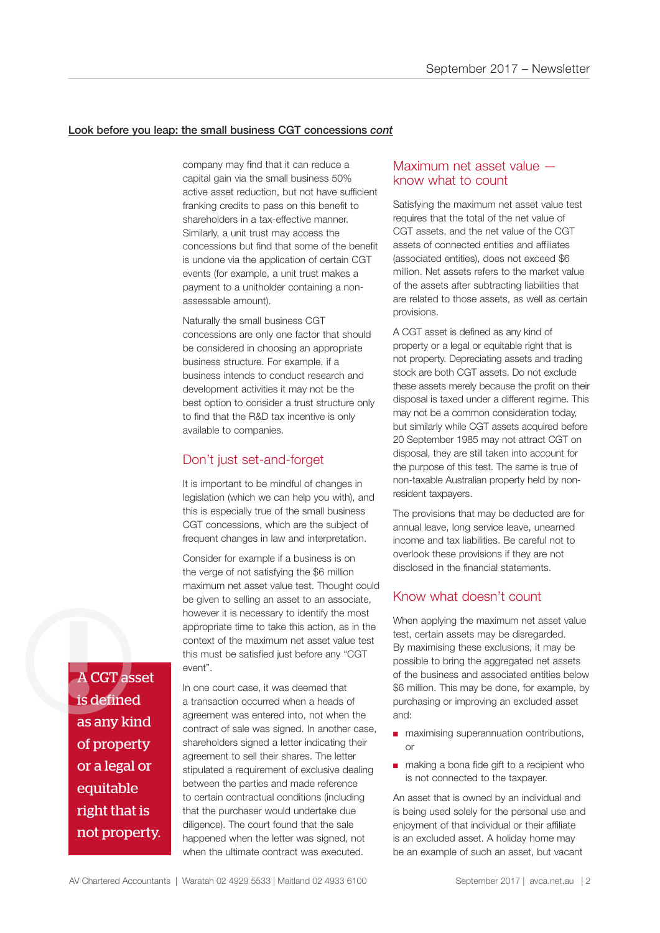#### Look before you leap: the small business CGT concessions *cont*

company may find that it can reduce a capital gain via the small business 50% active asset reduction, but not have sufficient franking credits to pass on this benefit to shareholders in a tax-effective manner. Similarly, a unit trust may access the concessions but find that some of the benefit is undone via the application of certain CGT events (for example, a unit trust makes a payment to a unitholder containing a nonassessable amount).

Naturally the small business CGT concessions are only one factor that should be considered in choosing an appropriate business structure. For example, if a business intends to conduct research and development activities it may not be the best option to consider a trust structure only to find that the R&D tax incentive is only available to companies.

# Don't just set-and-forget

It is important to be mindful of changes in legislation (which we can help you with), and this is especially true of the small business CGT concessions, which are the subject of frequent changes in law and interpretation.

Consider for example if a business is on the verge of not satisfying the \$6 million maximum net asset value test. Thought could be given to selling an asset to an associate, however it is necessary to identify the most appropriate time to take this action, as in the context of the maximum net asset value test this must be satisfied just before any "CGT event".

A CGT asset is defined as any kind of property or a legal or equitable right that is not property. A CGT asset

In one court case, it was deemed that a transaction occurred when a heads of agreement was entered into, not when the contract of sale was signed. In another case, shareholders signed a letter indicating their agreement to sell their shares. The letter stipulated a requirement of exclusive dealing between the parties and made reference to certain contractual conditions (including that the purchaser would undertake due diligence). The court found that the sale happened when the letter was signed, not when the ultimate contract was executed.

# Maximum net asset value know what to count

Satisfying the maximum net asset value test requires that the total of the net value of CGT assets, and the net value of the CGT assets of connected entities and affiliates (associated entities), does not exceed \$6 million. Net assets refers to the market value of the assets after subtracting liabilities that are related to those assets, as well as certain provisions.

A CGT asset is defined as any kind of property or a legal or equitable right that is not property. Depreciating assets and trading stock are both CGT assets. Do not exclude these assets merely because the profit on their disposal is taxed under a different regime. This may not be a common consideration today, but similarly while CGT assets acquired before 20 September 1985 may not attract CGT on disposal, they are still taken into account for the purpose of this test. The same is true of non-taxable Australian property held by nonresident taxpayers.

The provisions that may be deducted are for annual leave, long service leave, unearned income and tax liabilities. Be careful not to overlook these provisions if they are not disclosed in the financial statements.

### Know what doesn't count

When applying the maximum net asset value test, certain assets may be disregarded. By maximising these exclusions, it may be possible to bring the aggregated net assets of the business and associated entities below \$6 million. This may be done, for example, by purchasing or improving an excluded asset and:

- maximising superannuation contributions, or
- making a bona fide gift to a recipient who is not connected to the taxpayer.

An asset that is owned by an individual and is being used solely for the personal use and enjoyment of that individual or their affiliate is an excluded asset. A holiday home may be an example of such an asset, but vacant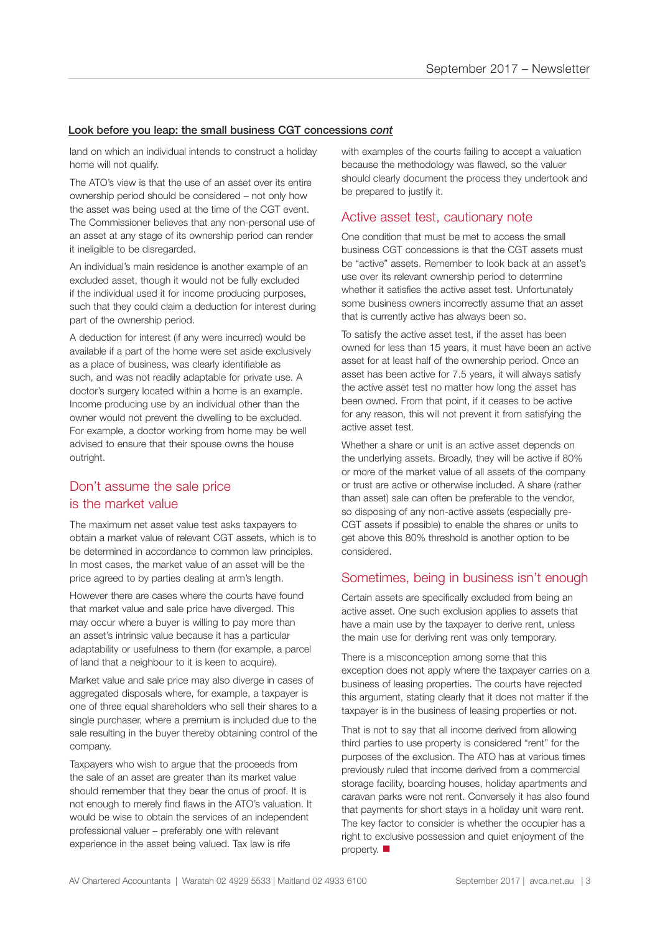#### Look before you leap: the small business CGT concessions *cont*

land on which an individual intends to construct a holiday home will not qualify.

The ATO's view is that the use of an asset over its entire ownership period should be considered – not only how the asset was being used at the time of the CGT event. The Commissioner believes that any non-personal use of an asset at any stage of its ownership period can render it ineligible to be disregarded.

An individual's main residence is another example of an excluded asset, though it would not be fully excluded if the individual used it for income producing purposes, such that they could claim a deduction for interest during part of the ownership period.

A deduction for interest (if any were incurred) would be available if a part of the home were set aside exclusively as a place of business, was clearly identifiable as such, and was not readily adaptable for private use. A doctor's surgery located within a home is an example. Income producing use by an individual other than the owner would not prevent the dwelling to be excluded. For example, a doctor working from home may be well advised to ensure that their spouse owns the house outright.

# Don't assume the sale price is the market value

The maximum net asset value test asks taxpayers to obtain a market value of relevant CGT assets, which is to be determined in accordance to common law principles. In most cases, the market value of an asset will be the price agreed to by parties dealing at arm's length.

However there are cases where the courts have found that market value and sale price have diverged. This may occur where a buyer is willing to pay more than an asset's intrinsic value because it has a particular adaptability or usefulness to them (for example, a parcel of land that a neighbour to it is keen to acquire).

Market value and sale price may also diverge in cases of aggregated disposals where, for example, a taxpayer is one of three equal shareholders who sell their shares to a single purchaser, where a premium is included due to the sale resulting in the buyer thereby obtaining control of the company.

Taxpayers who wish to argue that the proceeds from the sale of an asset are greater than its market value should remember that they bear the onus of proof. It is not enough to merely find flaws in the ATO's valuation. It would be wise to obtain the services of an independent professional valuer – preferably one with relevant experience in the asset being valued. Tax law is rife

with examples of the courts failing to accept a valuation because the methodology was flawed, so the valuer should clearly document the process they undertook and be prepared to justify it.

## Active asset test, cautionary note

One condition that must be met to access the small business CGT concessions is that the CGT assets must be "active" assets. Remember to look back at an asset's use over its relevant ownership period to determine whether it satisfies the active asset test. Unfortunately some business owners incorrectly assume that an asset that is currently active has always been so.

To satisfy the active asset test, if the asset has been owned for less than 15 years, it must have been an active asset for at least half of the ownership period. Once an asset has been active for 7.5 years, it will always satisfy the active asset test no matter how long the asset has been owned. From that point, if it ceases to be active for any reason, this will not prevent it from satisfying the active asset test.

Whether a share or unit is an active asset depends on the underlying assets. Broadly, they will be active if 80% or more of the market value of all assets of the company or trust are active or otherwise included. A share (rather than asset) sale can often be preferable to the vendor, so disposing of any non-active assets (especially pre-CGT assets if possible) to enable the shares or units to get above this 80% threshold is another option to be considered.

### Sometimes, being in business isn't enough

Certain assets are specifically excluded from being an active asset. One such exclusion applies to assets that have a main use by the taxpayer to derive rent, unless the main use for deriving rent was only temporary.

There is a misconception among some that this exception does not apply where the taxpayer carries on a business of leasing properties. The courts have rejected this argument, stating clearly that it does not matter if the taxpayer is in the business of leasing properties or not.

That is not to say that all income derived from allowing third parties to use property is considered "rent" for the purposes of the exclusion. The ATO has at various times previously ruled that income derived from a commercial storage facility, boarding houses, holiday apartments and caravan parks were not rent. Conversely it has also found that payments for short stays in a holiday unit were rent. The key factor to consider is whether the occupier has a right to exclusive possession and quiet enjoyment of the property.  $\blacksquare$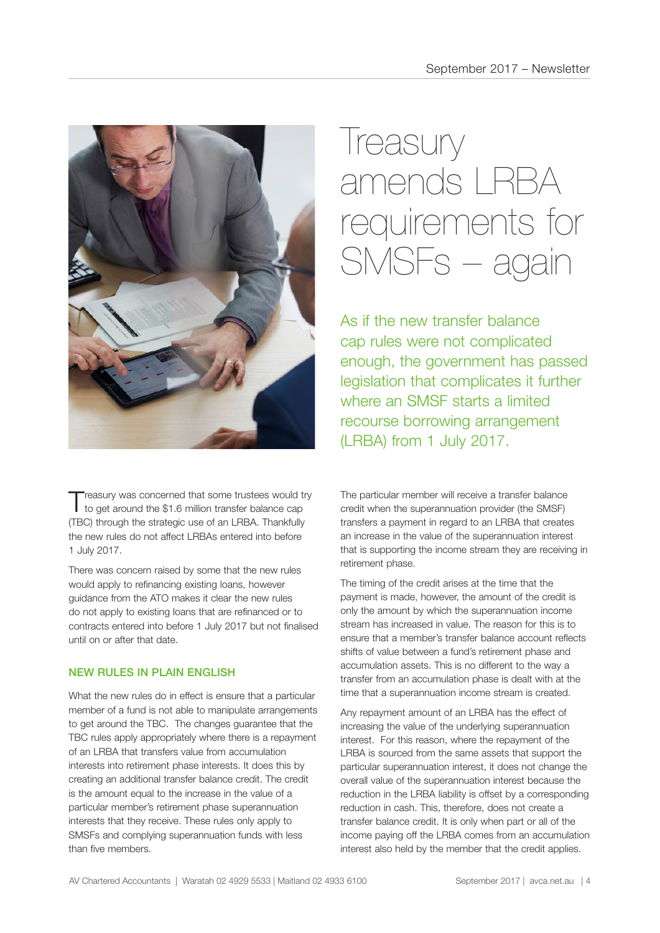

Treasury was concerned that some trustees would try<br>to get around the \$1.6 million transfer balance cap (TBC) through the strategic use of an LRBA. Thankfully the new rules do not affect LRBAs entered into before 1 July 2017.

There was concern raised by some that the new rules would apply to refinancing existing loans, however guidance from the ATO makes it clear the new rules do not apply to existing loans that are refinanced or to contracts entered into before 1 July 2017 but not finalised until on or after that date.

#### NEW RULES IN PLAIN ENGLISH

What the new rules do in effect is ensure that a particular member of a fund is not able to manipulate arrangements to get around the TBC. The changes guarantee that the TBC rules apply appropriately where there is a repayment of an LRBA that transfers value from accumulation interests into retirement phase interests. It does this by creating an additional transfer balance credit. The credit is the amount equal to the increase in the value of a particular member's retirement phase superannuation interests that they receive. These rules only apply to SMSFs and complying superannuation funds with less than five members.

# Ireasury amends LRBA requirements for SMSFs – again

As if the new transfer balance cap rules were not complicated enough, the government has passed legislation that complicates it further where an SMSF starts a limited recourse borrowing arrangement (LRBA) from 1 July 2017.

The particular member will receive a transfer balance credit when the superannuation provider (the SMSF) transfers a payment in regard to an LRBA that creates an increase in the value of the superannuation interest that is supporting the income stream they are receiving in retirement phase.

The timing of the credit arises at the time that the payment is made, however, the amount of the credit is only the amount by which the superannuation income stream has increased in value. The reason for this is to ensure that a member's transfer balance account reflects shifts of value between a fund's retirement phase and accumulation assets. This is no different to the way a transfer from an accumulation phase is dealt with at the time that a superannuation income stream is created.

Any repayment amount of an LRBA has the effect of increasing the value of the underlying superannuation interest. For this reason, where the repayment of the LRBA is sourced from the same assets that support the particular superannuation interest, it does not change the overall value of the superannuation interest because the reduction in the LRBA liability is offset by a corresponding reduction in cash. This, therefore, does not create a transfer balance credit. It is only when part or all of the income paying off the LRBA comes from an accumulation interest also held by the member that the credit applies.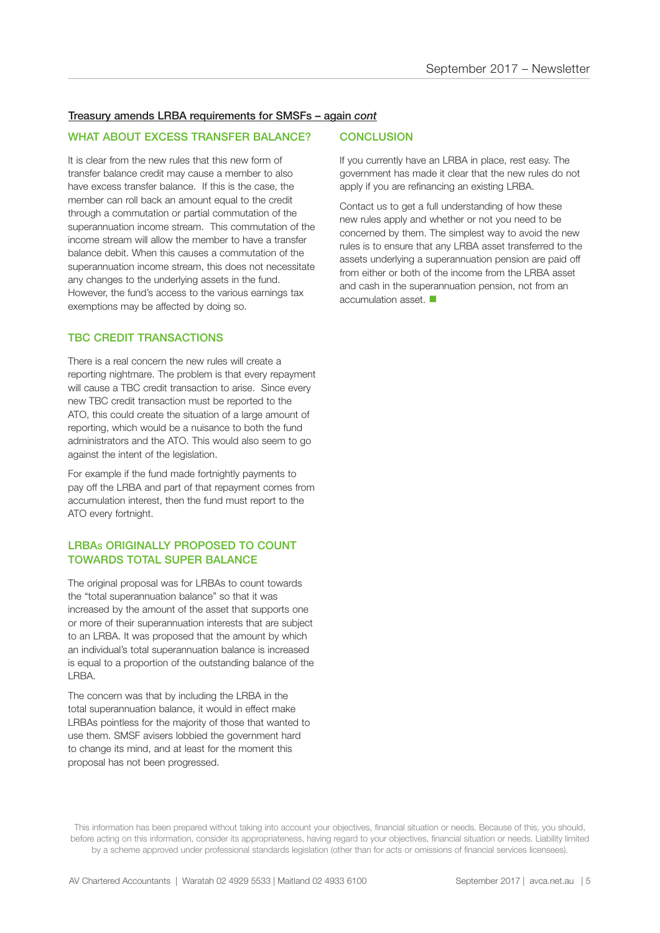#### Treasury amends LRBA requirements for SMSFs – again *cont*

#### WHAT ABOUT EXCESS TRANSFER BALANCE?

It is clear from the new rules that this new form of transfer balance credit may cause a member to also have excess transfer balance. If this is the case, the member can roll back an amount equal to the credit through a commutation or partial commutation of the superannuation income stream. This commutation of the income stream will allow the member to have a transfer balance debit. When this causes a commutation of the superannuation income stream, this does not necessitate any changes to the underlying assets in the fund. However, the fund's access to the various earnings tax exemptions may be affected by doing so.

#### TBC CREDIT TRANSACTIONS

There is a real concern the new rules will create a reporting nightmare. The problem is that every repayment will cause a TBC credit transaction to arise. Since every new TBC credit transaction must be reported to the ATO, this could create the situation of a large amount of reporting, which would be a nuisance to both the fund administrators and the ATO. This would also seem to go against the intent of the legislation.

For example if the fund made fortnightly payments to pay off the LRBA and part of that repayment comes from accumulation interest, then the fund must report to the ATO every fortnight.

#### LRBAS ORIGINALLY PROPOSED TO COUNT TOWARDS TOTAL SUPER BALANCE

The original proposal was for LRBAs to count towards the "total superannuation balance" so that it was increased by the amount of the asset that supports one or more of their superannuation interests that are subject to an LRBA. It was proposed that the amount by which an individual's total superannuation balance is increased is equal to a proportion of the outstanding balance of the LRBA.

The concern was that by including the LRBA in the total superannuation balance, it would in effect make LRBAs pointless for the majority of those that wanted to use them. SMSF avisers lobbied the government hard to change its mind, and at least for the moment this proposal has not been progressed.

#### **CONCLUSION**

If you currently have an LRBA in place, rest easy. The government has made it clear that the new rules do not apply if you are refinancing an existing LRBA.

Contact us to get a full understanding of how these new rules apply and whether or not you need to be concerned by them. The simplest way to avoid the new rules is to ensure that any LRBA asset transferred to the assets underlying a superannuation pension are paid off from either or both of the income from the LRBA asset and cash in the superannuation pension, not from an accumulation asset.  $\blacksquare$ 

This information has been prepared without taking into account your objectives, financial situation or needs. Because of this, you should, before acting on this information, consider its appropriateness, having regard to your objectives, financial situation or needs. Liability limited by a scheme approved under professional standards legislation (other than for acts or omissions of financial services licensees).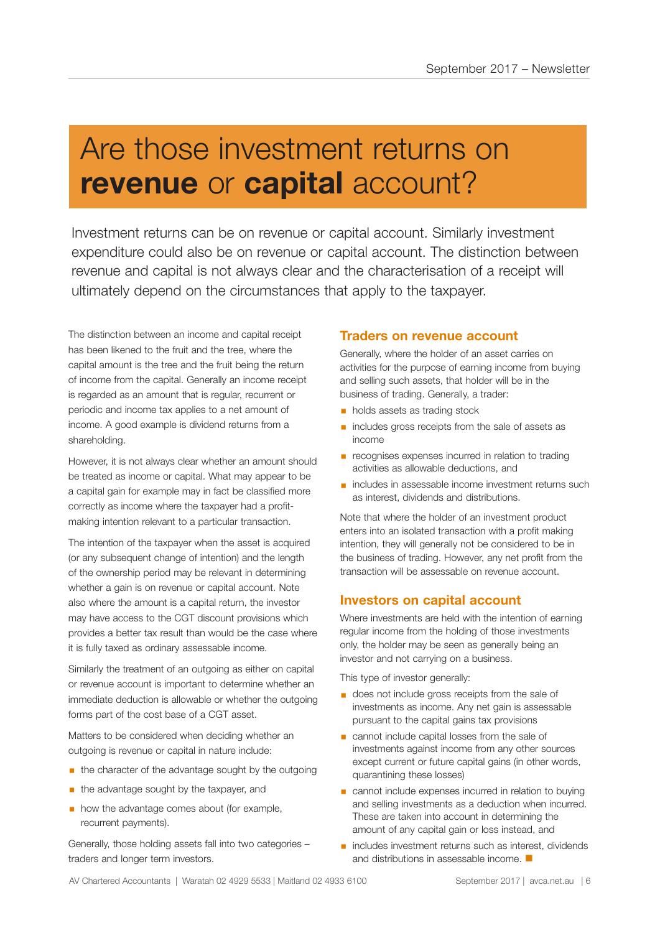# Are those investment returns on **revenue** or **capital** account?

Investment returns can be on revenue or capital account. Similarly investment expenditure could also be on revenue or capital account. The distinction between revenue and capital is not always clear and the characterisation of a receipt will ultimately depend on the circumstances that apply to the taxpayer.

The distinction between an income and capital receipt has been likened to the fruit and the tree, where the capital amount is the tree and the fruit being the return of income from the capital. Generally an income receipt is regarded as an amount that is regular, recurrent or periodic and income tax applies to a net amount of income. A good example is dividend returns from a shareholding.

However, it is not always clear whether an amount should be treated as income or capital. What may appear to be a capital gain for example may in fact be classified more correctly as income where the taxpayer had a profitmaking intention relevant to a particular transaction.

The intention of the taxpayer when the asset is acquired (or any subsequent change of intention) and the length of the ownership period may be relevant in determining whether a gain is on revenue or capital account. Note also where the amount is a capital return, the investor may have access to the CGT discount provisions which provides a better tax result than would be the case where it is fully taxed as ordinary assessable income.

Similarly the treatment of an outgoing as either on capital or revenue account is important to determine whether an immediate deduction is allowable or whether the outgoing forms part of the cost base of a CGT asset.

Matters to be considered when deciding whether an outgoing is revenue or capital in nature include:

- **the character of the advantage sought by the outgoing**
- the advantage sought by the taxpayer, and
- **how the advantage comes about (for example,** recurrent payments).

Generally, those holding assets fall into two categories – traders and longer term investors.

#### **Traders on revenue account**

Generally, where the holder of an asset carries on activities for the purpose of earning income from buying and selling such assets, that holder will be in the business of trading. Generally, a trader:

- **holds assets as trading stock**
- includes gross receipts from the sale of assets as income
- recognises expenses incurred in relation to trading activities as allowable deductions, and
- includes in assessable income investment returns such as interest, dividends and distributions.

Note that where the holder of an investment product enters into an isolated transaction with a profit making intention, they will generally not be considered to be in the business of trading. However, any net profit from the transaction will be assessable on revenue account.

### **Investors on capital account**

Where investments are held with the intention of earning regular income from the holding of those investments only, the holder may be seen as generally being an investor and not carrying on a business.

This type of investor generally:

- does not include gross receipts from the sale of investments as income. Any net gain is assessable pursuant to the capital gains tax provisions
- cannot include capital losses from the sale of investments against income from any other sources except current or future capital gains (in other words, quarantining these losses)
- cannot include expenses incurred in relation to buying and selling investments as a deduction when incurred. These are taken into account in determining the amount of any capital gain or loss instead, and
- includes investment returns such as interest, dividends and distributions in assessable income.  $\blacksquare$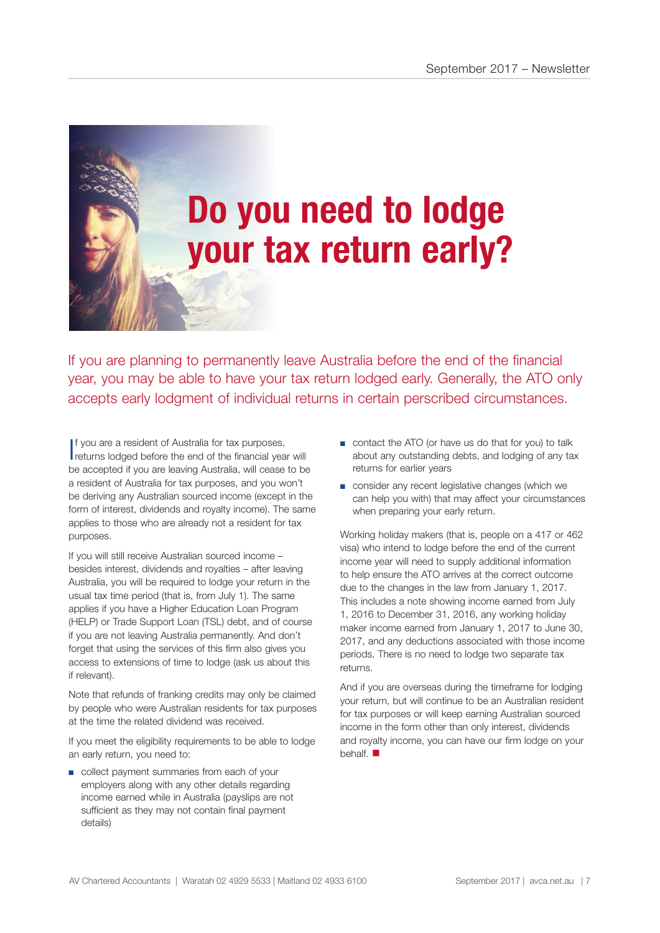# **Do you need to lodge your tax return early?**

If you are planning to permanently leave Australia before the end of the financial year, you may be able to have your tax return lodged early. Generally, the ATO only accepts early lodgment of individual returns in certain perscribed circumstances.

I f you are a resident of Australia for tax purposes, returns lodged before the end of the financial year will be accepted if you are leaving Australia, will cease to be a resident of Australia for tax purposes, and you won't be deriving any Australian sourced income (except in the form of interest, dividends and royalty income). The same applies to those who are already not a resident for tax purposes.

If you will still receive Australian sourced income – besides interest, dividends and royalties – after leaving Australia, you will be required to lodge your return in the usual tax time period (that is, from July 1). The same applies if you have a Higher Education Loan Program (HELP) or Trade Support Loan (TSL) debt, and of course if you are not leaving Australia permanently. And don't forget that using the services of this firm also gives you access to extensions of time to lodge (ask us about this if relevant).

Note that refunds of franking credits may only be claimed by people who were Australian residents for tax purposes at the time the related dividend was received.

If you meet the eligibility requirements to be able to lodge an early return, you need to:

■ collect payment summaries from each of your employers along with any other details regarding income earned while in Australia (payslips are not sufficient as they may not contain final payment details)

- contact the ATO (or have us do that for you) to talk about any outstanding debts, and lodging of any tax returns for earlier years
- consider any recent legislative changes (which we can help you with) that may affect your circumstances when preparing your early return.

Working holiday makers (that is, people on a 417 or 462 visa) who intend to lodge before the end of the current income year will need to supply additional information to help ensure the ATO arrives at the correct outcome due to the changes in the law from January 1, 2017. This includes a note showing income earned from July 1, 2016 to December 31, 2016, any working holiday maker income earned from January 1, 2017 to June 30, 2017, and any deductions associated with those income periods. There is no need to lodge two separate tax returns.

And if you are overseas during the timeframe for lodging your return, but will continue to be an Australian resident for tax purposes or will keep earning Australian sourced income in the form other than only interest, dividends and royalty income, you can have our firm lodge on your behalf.  $\blacksquare$